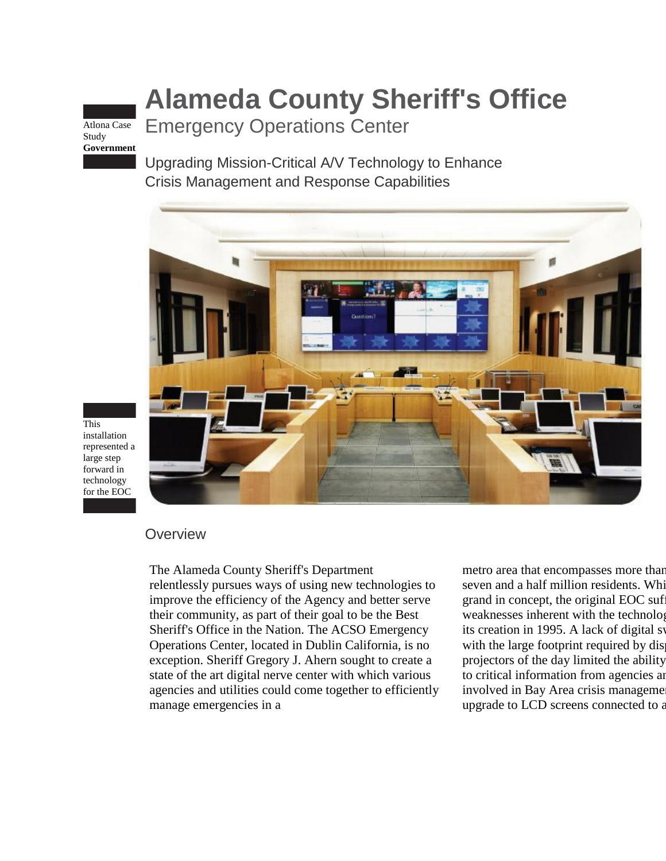# **Alameda County Sheriff's Office**

Atlona Case Study **Government** Emergency Operations Center

Upgrading Mission-Critical A/V Technology to Enhance Crisis Management and Response Capabilities



This installation represented a large step forward in technology for the EOC

# **Overview**

The Alameda County Sheriff's Department

relentlessly pursues ways of using new technologies to improve the efficiency of the Agency and better serve their community, as part of their goal to be the Best Sheriff's Office in the Nation. The ACSO Emergency Operations Center, located in Dublin California, is no exception. Sheriff Gregory J. Ahern sought to create a state of the art digital nerve center with which various agencies and utilities could come together to efficiently manage emergencies in a

metro area that encompasses more than seven and a half million residents. While grand in concept, the original EOC sufweaknesses inherent with the technology its creation in 1995. A lack of digital switching with the large footprint required by dis projectors of the day limited the ability to critical information from agencies and involved in Bay Area crisis manageme upgrade to LCD screens connected to a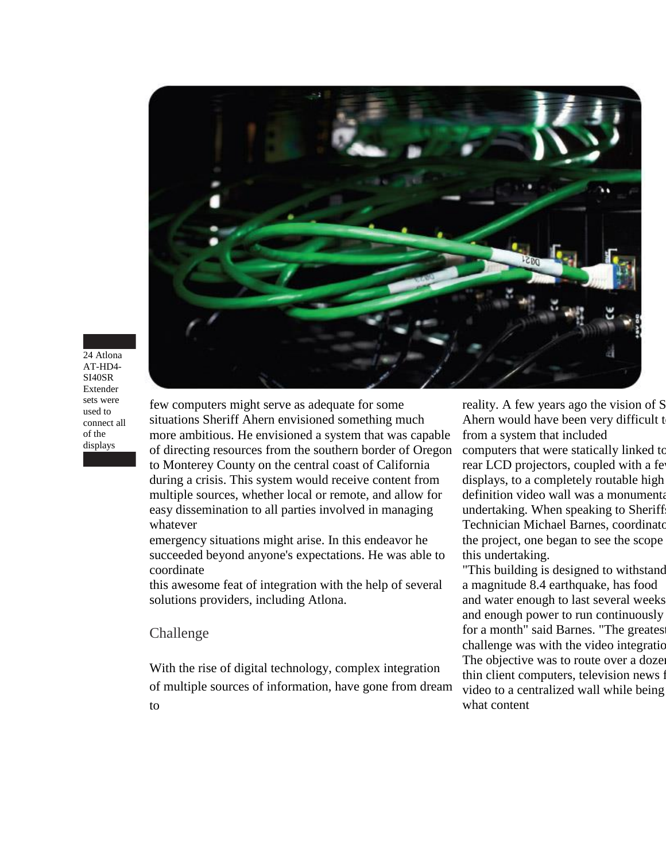

#### 24 Atlona AT-HD4- SI40SR Extender sets were used to connect all of the displays

few computers might serve as adequate for some situations Sheriff Ahern envisioned something much more ambitious. He envisioned a system that was capable of directing resources from the southern border of Oregon to Monterey County on the central coast of California during a crisis. This system would receive content from multiple sources, whether local or remote, and allow for easy dissemination to all parties involved in managing whatever

emergency situations might arise. In this endeavor he succeeded beyond anyone's expectations. He was able to coordinate

this awesome feat of integration with the help of several solutions providers, including Atlona.

### Challenge

With the rise of digital technology, complex integration of multiple sources of information, have gone from dream to

reality. A few years ago the vision of S Ahern would have been very difficult to from a system that included

computers that were statically linked to rear LCD projectors, coupled with a fe displays, to a completely routable high definition video wall was a monumenta undertaking. When speaking to Sheriff Technician Michael Barnes, coordinator the project, one began to see the scope this undertaking.

"This building is designed to withstand a magnitude 8.4 earthquake, has food and water enough to last several weeks, and enough power to run continuously for a month" said Barnes. "The greates challenge was with the video integration. The objective was to route over a dozen thin client computers, television news f video to a centralized wall while being what content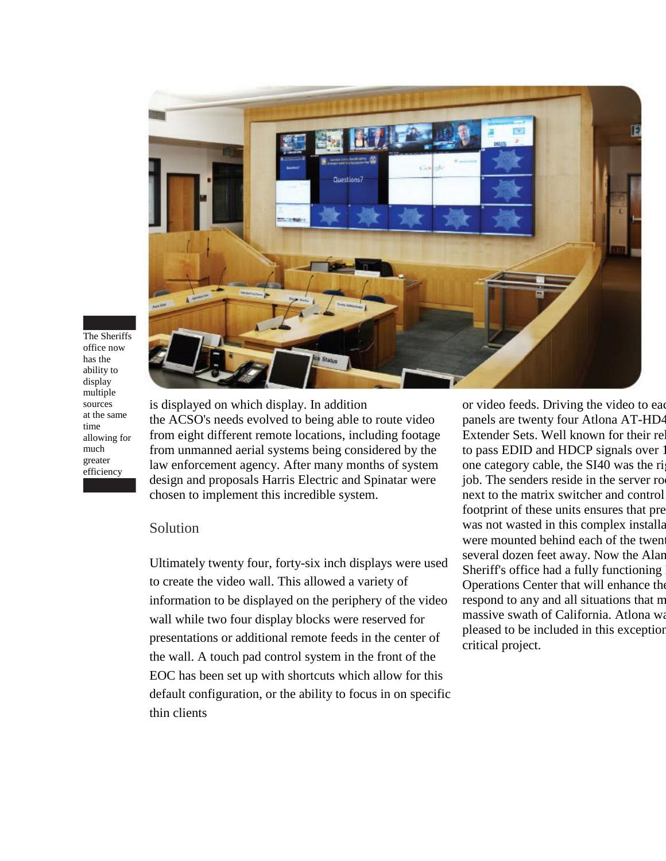

The Sheriffs office now has the ability to display multiple sources at the same time allowing for much greater efficiency

is displayed on which display. In addition the ACSO's needs evolved to being able to route video from eight different remote locations, including footage from unmanned aerial systems being considered by the law enforcement agency. After many months of system design and proposals Harris Electric and Spinatar were chosen to implement this incredible system.

## Solution

Ultimately twenty four, forty-six inch displays were used to create the video wall. This allowed a variety of information to be displayed on the periphery of the video wall while two four display blocks were reserved for presentations or additional remote feeds in the center of the wall. A touch pad control system in the front of the EOC has been set up with shortcuts which allow for this default configuration, or the ability to focus in on specific thin clients

or video feeds. Driving the video to each panels are twenty four Atlona AT-HD<sup>2</sup> Extender Sets. Well known for their relationto pass EDID and HDCP signals over 1 one category cable, the SI40 was the right job. The senders reside in the server ro next to the matrix switcher and control footprint of these units ensures that pre was not wasted in this complex installation. were mounted behind each of the twent several dozen feet away. Now the Alar Sheriff's office had a fully functioning Operations Center that will enhance the respond to any and all situations that m massive swath of California. Atlona was pleased to be included in this exception critical project.